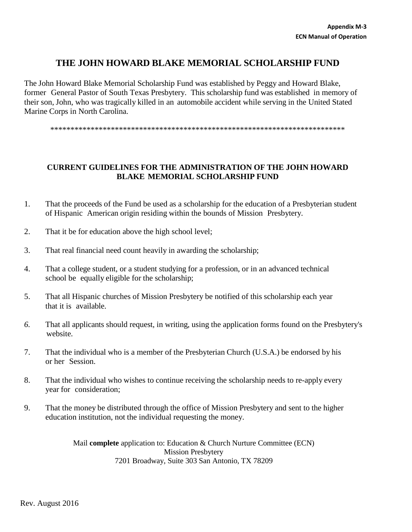## **THE JOHN HOWARD BLAKE MEMORIAL SCHOLARSHIP FUND**

The John Howard Blake Memorial Scholarship Fund was established by Peggy and Howard Blake, former General Pastor of South Texas Presbytery. This scholarship fund was established in memory of their son, John, who was tragically killed in an automobile accident while serving in the United Stated Marine Corps in North Carolina.

\*\*\*\*\*\*\*\*\*\*\*\*\*\*\*\*\*\*\*\*\*\*\*\*\*\*\*\*\*\*\*\*\*\*\*\*\*\*\*\*\*\*\*\*\*\*\*\*\*\*\*\*\*\*\*\*\*\*\*\*\*\*\*\*\*\*\*\*\*\*\*\*\*

## **CURRENT GUIDELINES FOR THE ADMINISTRATION OF THE JOHN HOWARD BLAKE MEMORIAL SCHOLARSHIP FUND**

- 1. That the proceeds of the Fund be used as a scholarship for the education of a Presbyterian student of Hispanic American origin residing within the bounds of Mission Presbytery.
- 2. That it be for education above the high school level;
- 3. That real financial need count heavily in awarding the scholarship;
- 4. That a college student, or a student studying for a profession, or in an advanced technical school be equally eligible for the scholarship;
- 5. That all Hispanic churches of Mission Presbytery be notified of this scholarship each year that it is available.
- *6.* That all applicants should request, in writing, using the application forms found on the Presbytery's website.
- 7. That the individual who is a member of the Presbyterian Church (U.S.A.) be endorsed by his or her Session.
- 8. That the individual who wishes to continue receiving the scholarship needs to re-apply every year for consideration;
- 9. That the money be distributed through the office of Mission Presbytery and sent to the higher education institution, not the individual requesting the money.

Mail **complete** application to: Education & Church Nurture Committee (ECN) Mission Presbytery 7201 Broadway, Suite 303 San Antonio, TX 78209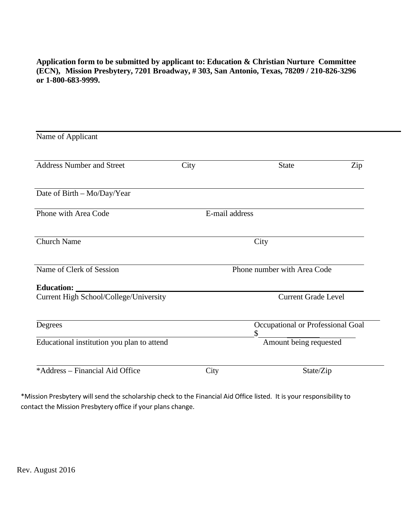**Application form to be submitted by applicant to: Education & Christian Nurture Committee (ECN), Mission Presbytery, 7201 Broadway, # 303, San Antonio, Texas, 78209 / 210-826-3296 or 1-800-683-9999.**

| Name of Applicant                          |                             |                                         |     |  |
|--------------------------------------------|-----------------------------|-----------------------------------------|-----|--|
| <b>Address Number and Street</b>           | City                        | <b>State</b>                            | Zip |  |
| Date of Birth - Mo/Day/Year                |                             |                                         |     |  |
| Phone with Area Code                       | E-mail address              |                                         |     |  |
| <b>Church Name</b>                         |                             | City                                    |     |  |
| Name of Clerk of Session                   | Phone number with Area Code |                                         |     |  |
| Education:                                 |                             |                                         |     |  |
| Current High School/College/University     |                             | <b>Current Grade Level</b>              |     |  |
| Degrees                                    |                             | Occupational or Professional Goal<br>\$ |     |  |
| Educational institution you plan to attend |                             | Amount being requested                  |     |  |
| *Address – Financial Aid Office            | City                        | State/Zip                               |     |  |

\*Mission Presbytery will send the scholarship check to the Financial Aid Office listed. It is your responsibility to contact the Mission Presbytery office if your plans change.

Rev. August 2016